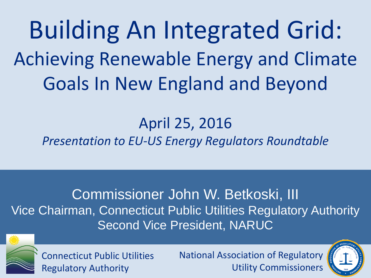Building An Integrated Grid: Achieving Renewable Energy and Climate Goals In New England and Beyond

### April 25, 2016

*Presentation to EU-US Energy Regulators Roundtable*

Commissioner John W. Betkoski, III Vice Chairman, Connecticut Public Utilities Regulatory Authority Second Vice President, NARUC



Connecticut Public Utilities Regulatory Authority

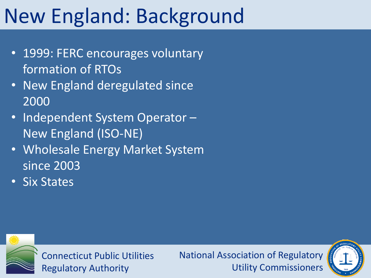# New England: Background

- 1999: FERC encourages voluntary formation of RTOs
- New England deregulated since 2000
- Independent System Operator -New England (ISO-NE)
- Wholesale Energy Market System since 2003
- Six States



Connecticut Public Utilities Regulatory Authority

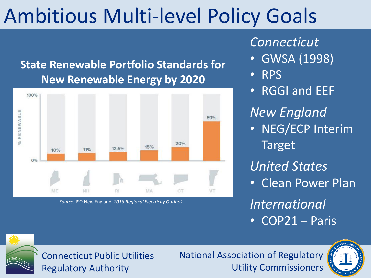## Ambitious Multi-level Policy Goals

#### **State Renewable Portfolio Standards for New Renewable Energy by 2020**



*Source:* ISO New England, *2016 Regional Electricity Outlook*

#### *Connecticut*

- GWSA (1998)
- RPS
- RGGI and EEF

*New England*

• NEG/ECP Interim Target

*United States*

• Clean Power Plan

*International* • COP21 – Paris

Connecticut Public Utilities Regulatory Authority

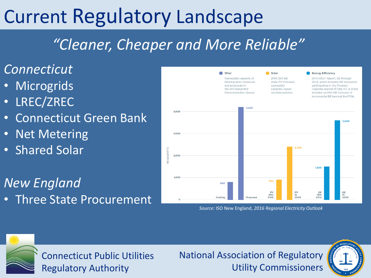### Current Regulatory Landscape

### *"Cleaner, Cheaper and More Reliable"*

#### *Connecticut*

- **Microgrids**
- LREC/ZREC
- Connecticut Green Bank
- Net Metering
- Shared Solar

*New England*

• Three State Procurement



*Source:* ISO New England, *2016 Regional Electricity Outlook*



Connecticut Public Utilities Regulatory Authority

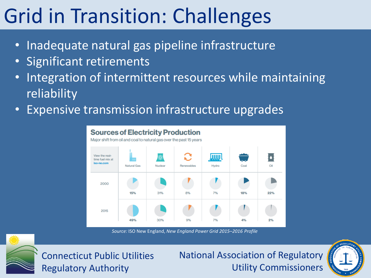# Grid in Transition: Challenges

- Inadequate natural gas pipeline infrastructure
- Significant retirements
- Integration of intermittent resources while maintaining reliability
- **Expensive transmission infrastructure upgrades**



*Source:* ISO New England, *New England Power Grid 2015–2016 Profile*



Connecticut Public Utilities Regulatory Authority

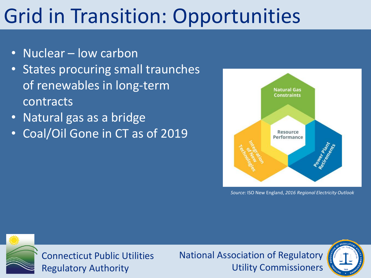## Grid in Transition: Opportunities

- Nuclear low carbon
- States procuring small traunches of renewables in long-term contracts
- Natural gas as a bridge
- Coal/Oil Gone in CT as of 2019



*Source:* ISO New England, *2016 Regional Electricity Outlook*



Connecticut Public Utilities Regulatory Authority

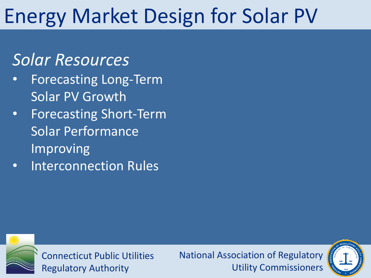### Energy Market Design for Solar PV

### *Solar Resources*

- Forecasting Long-Term Solar PV Growth
- Forecasting Short-Term Solar Performance Improving
- Interconnection Rules



Connecticut Public Utilities Regulatory Authority

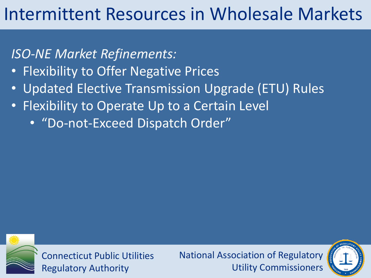### Intermittent Resources in Wholesale Markets

*ISO-NE Market Refinements:*

- Flexibility to Offer Negative Prices
- Updated Elective Transmission Upgrade (ETU) Rules
- Flexibility to Operate Up to a Certain Level
	- "Do-not-Exceed Dispatch Order"



Connecticut Public Utilities Regulatory Authority